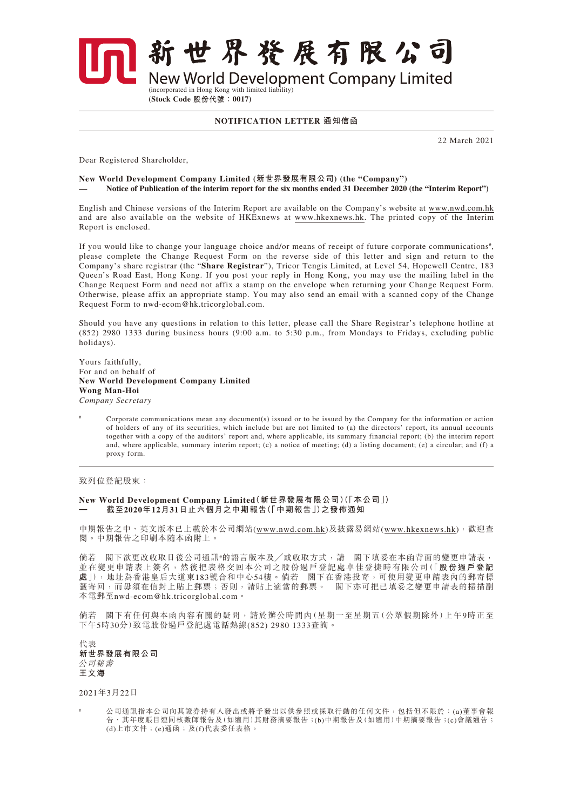新世界發展有限公司

**New World Development Company Limited** 

(incorporated in Hong Kong with limited liability) **(Stock Code 股份代號:0017)**

**NOTIFICATION LETTER 通知信函**

22 March 2021

Dear Registered Shareholder,

## **New World Development Company Limited (新世界發展有限公司) (the "Company") — Notice of Publication of the interim report for the six months ended 31 December 2020 (the "Interim Report")**

English and Chinese versions of the Interim Report are available on the Company's website at www.nwd.com.hk and are also available on the website of HKExnews at [www.hkexnews.hk](http://www.hkexnews.hk). The printed copy of the Interim Report is enclosed.

If you would like to change your language choice and/or means of receipt of future corporate communications<sup>#</sup>, please complete the Change Request Form on the reverse side of this letter and sign and return to the Company's share registrar (the "**Share Registrar**"), Tricor Tengis Limited, at Level 54, Hopewell Centre, 183 Queen's Road East, Hong Kong. If you post your reply in Hong Kong, you may use the mailing label in the Change Request Form and need not affix a stamp on the envelope when returning your Change Request Form. Otherwise, please affix an appropriate stamp. You may also send an email with a scanned copy of the Change Request Form to nwd-ecom@hk.tricorglobal.com.

Should you have any questions in relation to this letter, please call the Share Registrar's telephone hotline at (852) 2980 1333 during business hours (9:00 a.m. to 5:30 p.m., from Mondays to Fridays, excluding public holidays).

Yours faithfully, For and on behalf of **New World Development Company Limited Wong Man-Hoi** *Company Secretary*

Corporate communications mean any document(s) issued or to be issued by the Company for the information or action of holders of any of its securities, which include but are not limited to (a) the directors' report, its annual accounts together with a copy of the auditors' report and, where applicable, its summary financial report; (b) the interim report and, where applicable, summary interim report; (c) a notice of meeting; (d) a listing document; (e) a circular; and (f) a proxy form.

致列位登記股東:

## **New World Development Company Limited(新世界發展有限公司)(「本公司」) — 截至2020年12月31日止六個月之中期報告(「中期報告」)之發佈通知**

中期報告之中、英文版本已上載於本公司網站(www.nwd.com.hk)及披露易網站([www.hkexnews.hk](http://www.hkexnews.hk)),歡迎查 閱。中期報告之印刷本隨本函附上。

倘若 閣下欲更改收取日後公司通訊 的語言版本及/或收取方式,請 閣下填妥在本函背面的變更申請表, 並在變更申請表上簽名,然後把表格交回本公司之股份過戶登記處卓佳登捷時有限公司(「**股份過戶登記 處**」),地址為香港皇后大道東183號合和中心54樓。倘若 閣下在香港投寄,可使用變更申請表內的郵寄標 籤寄回,而毋須在信封上貼上郵票;否則,請貼上適當的郵票。 閣下亦可把已填妥之變更申請表的掃描副 本電郵至[nwd-ecom@hk.tricorglobal.com](mailto:nwd-ecom@hk.tricorglobal.com)。

倘若 閣下有任何與本函內容有關的疑問,請於辦公時間內(星期一至星期五(公眾假期除外)上午9時正至 下午5時30分)致電股份過戶登記處電話熱線(852) 2980 1333查詢。

代表 **新世界發展有限公司** 公司秘書 **王文海**

2021年3月22日

公司通訊指本公司向其證券持有人發出或將予發出以供參照或採取行動的任何文件,包括但不限於:(a)董事會報 告、其年度賬目連同核數師報告及(如適用)其財務摘要報告;(b)中期報告及(如適用)中期摘要報告;(c)會議通告; (d)上市文件;(e)通函;及(f)代表委任表格。